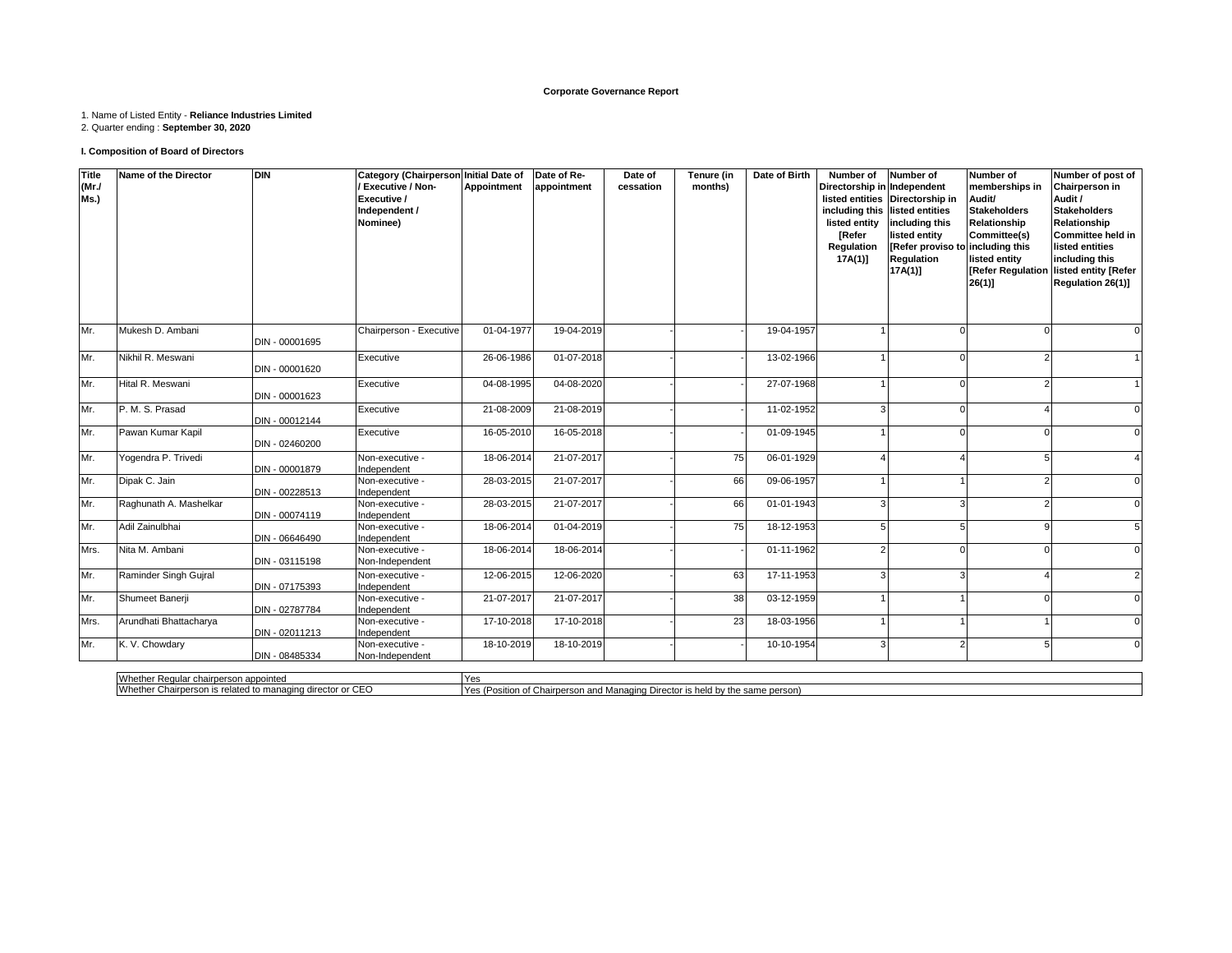#### **Corporate Governance Report**

# 1. Name of Listed Entity - **Reliance Industries Limited** 2. Quarter ending : **September 30, 2020**

#### **I. Composition of Board of Directors**

| <b>Title</b><br>(MrJ)<br>Ms.) | Name of the Director                                                                                | <b>DIN</b>     | Category (Chairperson Initial Date of   Date of Re-<br>Executive / Non-<br>Executive /<br>Independent /<br>Nominee) | Appointment | appointment | Date of<br>cessation | Tenure (in<br>months)                                                          | Date of Birth            | Number of<br>Directorship in Independent<br>listed entity<br>[Refer<br>Regulation<br>$17A(1)$ ] | Number of<br>listed entities Directorship in<br>including this listed entities<br>including this<br>listed entity<br>Refer proviso to<br>Regulation<br>17A(1) | Number of<br>memberships in<br>Audit/<br><b>Stakeholders</b><br>Relationship<br>Committee(s)<br>including this<br>listed entity<br>[Refer Regulation<br>26(1)] | Number of post of<br>Chairperson in<br>Audit /<br><b>Stakeholders</b><br>Relationship<br>Committee held in<br>listed entities<br>including this<br>listed entity [Refer<br>Regulation 26(1)] |
|-------------------------------|-----------------------------------------------------------------------------------------------------|----------------|---------------------------------------------------------------------------------------------------------------------|-------------|-------------|----------------------|--------------------------------------------------------------------------------|--------------------------|-------------------------------------------------------------------------------------------------|---------------------------------------------------------------------------------------------------------------------------------------------------------------|----------------------------------------------------------------------------------------------------------------------------------------------------------------|----------------------------------------------------------------------------------------------------------------------------------------------------------------------------------------------|
| Mr.                           | Mukesh D. Ambani                                                                                    | DIN - 00001695 | Chairperson - Executive                                                                                             | 01-04-1977  | 19-04-2019  |                      |                                                                                | 19-04-1957               |                                                                                                 | n                                                                                                                                                             |                                                                                                                                                                | $\Omega$                                                                                                                                                                                     |
| Mr.                           | Nikhil R. Meswani                                                                                   | DIN - 00001620 | Executive                                                                                                           | 26-06-1986  | 01-07-2018  |                      |                                                                                | 13-02-1966               |                                                                                                 | $\Omega$                                                                                                                                                      | $\mathcal{P}$                                                                                                                                                  |                                                                                                                                                                                              |
| Mr.                           | Hital R. Meswani                                                                                    | DIN - 00001623 | Executive                                                                                                           | 04-08-1995  | 04-08-2020  |                      |                                                                                | 27-07-1968               |                                                                                                 | $\Omega$                                                                                                                                                      | 2                                                                                                                                                              |                                                                                                                                                                                              |
| Mr.                           | P. M. S. Prasad                                                                                     | DIN - 00012144 | Executive                                                                                                           | 21-08-2009  | 21-08-2019  |                      |                                                                                | $\overline{11}$ -02-1952 |                                                                                                 | $\Omega$                                                                                                                                                      | Δ                                                                                                                                                              | $\Omega$                                                                                                                                                                                     |
| Mr.                           | Pawan Kumar Kapil                                                                                   | DIN - 02460200 | Executive                                                                                                           | 16-05-2010  | 16-05-2018  |                      |                                                                                | 01-09-1945               |                                                                                                 |                                                                                                                                                               |                                                                                                                                                                | $\mathbf 0$                                                                                                                                                                                  |
| Mr.                           | Yogendra P. Trivedi                                                                                 | DIN - 00001879 | Non-executive -<br>Independent                                                                                      | 18-06-2014  | 21-07-2017  |                      | 75                                                                             | 06-01-1929               |                                                                                                 |                                                                                                                                                               |                                                                                                                                                                | $\overline{4}$                                                                                                                                                                               |
| Mr.                           | Dipak C. Jain                                                                                       | DIN - 00228513 | Non-executive -<br>Independent                                                                                      | 28-03-2015  | 21-07-2017  |                      | 66                                                                             | 09-06-1957               |                                                                                                 |                                                                                                                                                               | 2                                                                                                                                                              | $\mathbf 0$                                                                                                                                                                                  |
| Mr.                           | Raghunath A. Mashelkar                                                                              | DIN - 00074119 | Non-executive -<br>Independent                                                                                      | 28-03-2015  | 21-07-2017  |                      | 66                                                                             | 01-01-1943               |                                                                                                 |                                                                                                                                                               |                                                                                                                                                                | $\Omega$                                                                                                                                                                                     |
| Mr.                           | Adil Zainulbhai                                                                                     | DIN - 06646490 | Non-executive -<br>Independent                                                                                      | 18-06-2014  | 01-04-2019  |                      | 75                                                                             | 18-12-1953               |                                                                                                 | F                                                                                                                                                             |                                                                                                                                                                | 5                                                                                                                                                                                            |
| Mrs.                          | Nita M. Ambani                                                                                      | DIN - 03115198 | Non-executive -<br>Non-Independent                                                                                  | 18-06-2014  | 18-06-2014  |                      |                                                                                | 01-11-1962               |                                                                                                 | ſ                                                                                                                                                             |                                                                                                                                                                | $\mathbf 0$                                                                                                                                                                                  |
| Mr.                           | Raminder Singh Gujral                                                                               | DIN - 07175393 | Non-executive -<br>Independent                                                                                      | 12-06-2015  | 12-06-2020  |                      | 63                                                                             | 17-11-1953               |                                                                                                 |                                                                                                                                                               |                                                                                                                                                                | $\overline{2}$                                                                                                                                                                               |
| Mr.                           | Shumeet Banerji                                                                                     | DIN - 02787784 | Non-executive -<br>Independent                                                                                      | 21-07-2017  | 21-07-2017  |                      | 38                                                                             | 03-12-1959               |                                                                                                 |                                                                                                                                                               |                                                                                                                                                                | $\mathbf 0$                                                                                                                                                                                  |
| Mrs.                          | Arundhati Bhattacharya                                                                              | DIN - 02011213 | Non-executive -<br>Independent                                                                                      | 17-10-2018  | 17-10-2018  |                      | 23                                                                             | 18-03-1956               |                                                                                                 |                                                                                                                                                               |                                                                                                                                                                | $\Omega$                                                                                                                                                                                     |
| Mr.                           | K. V. Chowdary                                                                                      | DIN - 08485334 | Non-executive -<br>Non-Independent                                                                                  | 18-10-2019  | 18-10-2019  |                      |                                                                                | 10-10-1954               |                                                                                                 | $\overline{2}$                                                                                                                                                | 5                                                                                                                                                              | $\mathbf 0$                                                                                                                                                                                  |
|                               | Whether Regular chairperson appointed<br>Whether Chairperson is related to managing director or CEO |                |                                                                                                                     | Yes         |             |                      | Yes (Position of Chairperson and Managing Director is held by the same person) |                          |                                                                                                 |                                                                                                                                                               |                                                                                                                                                                |                                                                                                                                                                                              |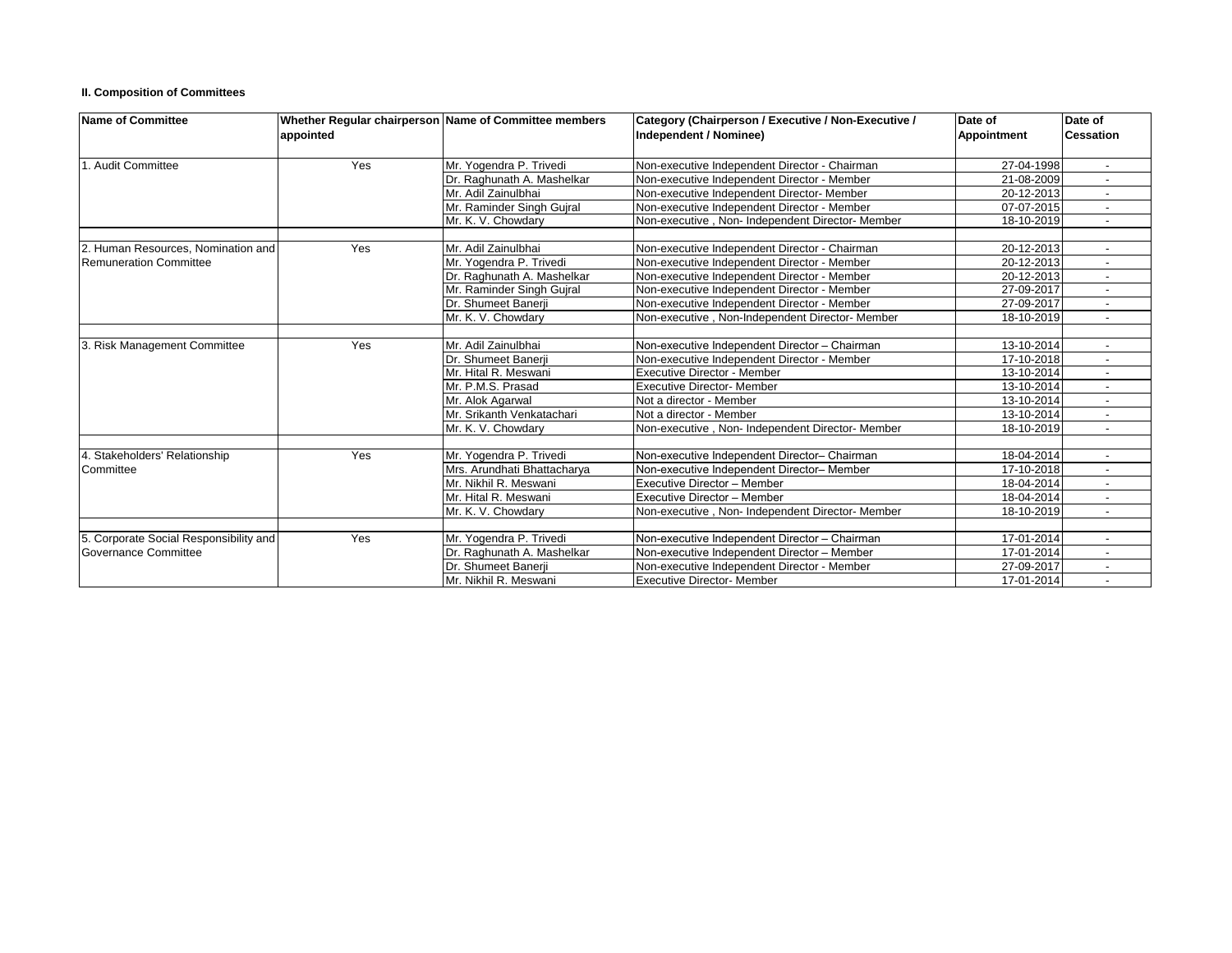#### **II. Composition of Committees**

| <b>Name of Committee</b>               | appointed | Whether Regular chairperson Name of Committee members | Category (Chairperson / Executive / Non-Executive /<br>Independent / Nominee) | Date of<br>Appointment | Date of<br><b>Cessation</b> |
|----------------------------------------|-----------|-------------------------------------------------------|-------------------------------------------------------------------------------|------------------------|-----------------------------|
|                                        |           |                                                       |                                                                               |                        |                             |
| 1. Audit Committee                     | Yes       | Mr. Yogendra P. Trivedi                               | Non-executive Independent Director - Chairman                                 | 27-04-1998             | $\overline{\phantom{a}}$    |
|                                        |           | Dr. Raghunath A. Mashelkar                            | Non-executive Independent Director - Member                                   | 21-08-2009             |                             |
|                                        |           | Mr. Adil Zainulbhai                                   | Non-executive Independent Director- Member                                    | 20-12-2013             |                             |
|                                        |           | Mr. Raminder Singh Guiral                             | Non-executive Independent Director - Member                                   | 07-07-2015             |                             |
|                                        |           | Mr. K. V. Chowdary                                    | Non-executive, Non-Independent Director-Member                                | 18-10-2019             |                             |
|                                        |           |                                                       |                                                                               |                        |                             |
| 2. Human Resources, Nomination and     | Yes       | Mr. Adil Zainulbhai                                   | Non-executive Independent Director - Chairman                                 | 20-12-2013             | $\overline{\phantom{a}}$    |
| <b>Remuneration Committee</b>          |           | Mr. Yogendra P. Trivedi                               | Non-executive Independent Director - Member                                   | 20-12-2013             |                             |
|                                        |           | Dr. Raghunath A. Mashelkar                            | Non-executive Independent Director - Member                                   | 20-12-2013             |                             |
|                                        |           | Mr. Raminder Singh Guiral                             | Non-executive Independent Director - Member                                   | 27-09-2017             |                             |
|                                        |           | Dr. Shumeet Banerii                                   | Non-executive Independent Director - Member                                   | 27-09-2017             |                             |
|                                        |           | Mr. K. V. Chowdary                                    | Non-executive, Non-Independent Director- Member                               | 18-10-2019             | $\overline{\phantom{a}}$    |
|                                        |           |                                                       |                                                                               |                        |                             |
| 3. Risk Management Committee           | Yes       | Mr. Adil Zainulbhai                                   | Non-executive Independent Director - Chairman                                 | 13-10-2014             |                             |
|                                        |           | Dr. Shumeet Banerii                                   | Non-executive Independent Director - Member                                   | 17-10-2018             |                             |
|                                        |           | Mr. Hital R. Meswani                                  | Executive Director - Member                                                   | 13-10-2014             |                             |
|                                        |           | Mr. P.M.S. Prasad                                     | <b>Executive Director- Member</b>                                             | 13-10-2014             | $\overline{\phantom{a}}$    |
|                                        |           | Mr. Alok Agarwal                                      | Not a director - Member                                                       | 13-10-2014             |                             |
|                                        |           | Mr. Srikanth Venkatachari                             | Not a director - Member                                                       | 13-10-2014             |                             |
|                                        |           | Mr. K. V. Chowdary                                    | Non-executive, Non- Independent Director- Member                              | 18-10-2019             |                             |
|                                        |           |                                                       |                                                                               |                        |                             |
| 4. Stakeholders' Relationship          | Yes       | Mr. Yogendra P. Trivedi                               | Non-executive Independent Director- Chairman                                  | 18-04-2014             | $\overline{\phantom{a}}$    |
| Committee                              |           | Mrs. Arundhati Bhattacharva                           | Non-executive Independent Director- Member                                    | 17-10-2018             | $\overline{\phantom{a}}$    |
|                                        |           | Mr. Nikhil R. Meswani                                 | Executive Director - Member                                                   | 18-04-2014             |                             |
|                                        |           | Mr. Hital R. Meswani                                  | Executive Director - Member                                                   | 18-04-2014             |                             |
|                                        |           | Mr. K. V. Chowdarv                                    | Non-executive, Non-Independent Director-Member                                | 18-10-2019             |                             |
|                                        |           |                                                       |                                                                               |                        |                             |
| 5. Corporate Social Responsibility and | Yes       | Mr. Yogendra P. Trivedi                               | Non-executive Independent Director - Chairman                                 | 17-01-2014             | $\overline{\phantom{a}}$    |
| Governance Committee                   |           | Dr. Raghunath A. Mashelkar                            | Non-executive Independent Director - Member                                   | 17-01-2014             | $\overline{\phantom{a}}$    |
|                                        |           | Dr. Shumeet Banerji                                   | Non-executive Independent Director - Member                                   | 27-09-2017             |                             |
|                                        |           | Mr. Nikhil R. Meswani                                 | <b>Executive Director- Member</b>                                             | 17-01-2014             |                             |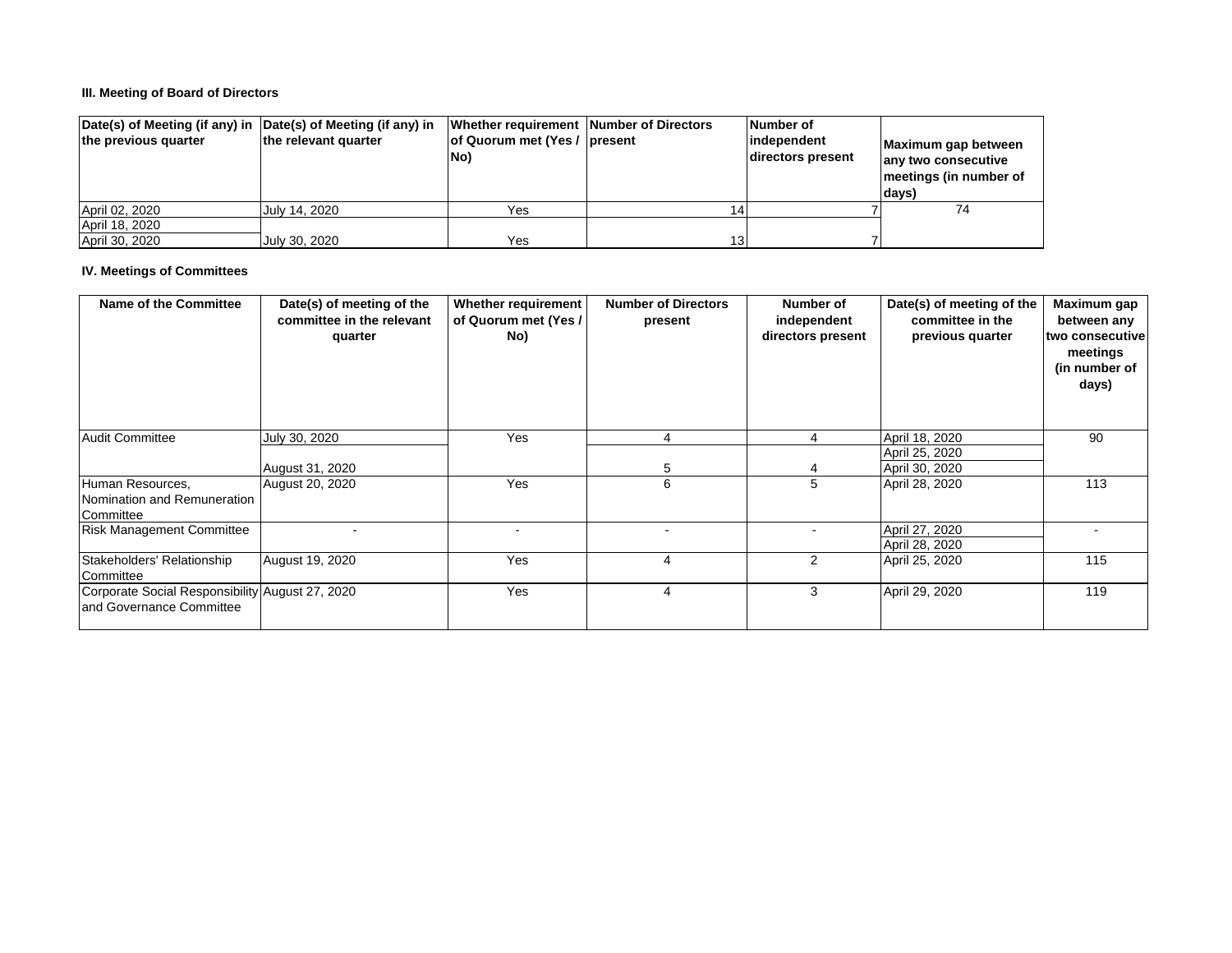## **III. Meeting of Board of Directors**

| Date(s) of Meeting (if any) in Date(s) of Meeting (if any) in<br>the previous quarter | the relevant quarter | Whether requirement Number of Directors<br>of Quorum met (Yes / present<br>No) | Number of<br>independent<br>directors present | Maximum gap between<br>any two consecutive<br>meetings (in number of<br>days) |
|---------------------------------------------------------------------------------------|----------------------|--------------------------------------------------------------------------------|-----------------------------------------------|-------------------------------------------------------------------------------|
| April 02, 2020                                                                        | Uulv 14. 2020        | Yes                                                                            |                                               |                                                                               |
| April 18, 2020                                                                        |                      |                                                                                |                                               |                                                                               |
| April 30, 2020                                                                        | July 30, 2020        | Yes                                                                            |                                               |                                                                               |

### **IV. Meetings of Committees**

| Name of the Committee                                                        | Date(s) of meeting of the<br>committee in the relevant<br>quarter | Whether requirement<br>of Quorum met (Yes /<br>No) | <b>Number of Directors</b><br>present | Number of<br>independent<br>directors present | Date(s) of meeting of the<br>committee in the<br>previous quarter | Maximum gap<br>between any<br>two consecutive<br>meetings<br>(in number of<br>days) |
|------------------------------------------------------------------------------|-------------------------------------------------------------------|----------------------------------------------------|---------------------------------------|-----------------------------------------------|-------------------------------------------------------------------|-------------------------------------------------------------------------------------|
| <b>Audit Committee</b>                                                       | July 30, 2020                                                     | Yes                                                | 4                                     | 4                                             | April 18, 2020                                                    | 90                                                                                  |
|                                                                              | August 31, 2020                                                   |                                                    | 5                                     |                                               | April 25, 2020<br>April 30, 2020                                  |                                                                                     |
| Human Resources,<br>Nomination and Remuneration<br>Committee                 | August 20, 2020                                                   | Yes                                                | 6                                     | 5                                             | April 28, 2020                                                    | 113                                                                                 |
| <b>Risk Management Committee</b>                                             |                                                                   |                                                    |                                       |                                               | April 27, 2020<br>April 28, 2020                                  |                                                                                     |
| Stakeholders' Relationship<br>Committee                                      | August 19, 2020                                                   | Yes                                                | 4                                     | $\overline{2}$                                | April 25, 2020                                                    | 115                                                                                 |
| Corporate Social Responsibility August 27, 2020<br>land Governance Committee |                                                                   | Yes                                                | 4                                     | 3                                             | April 29, 2020                                                    | 119                                                                                 |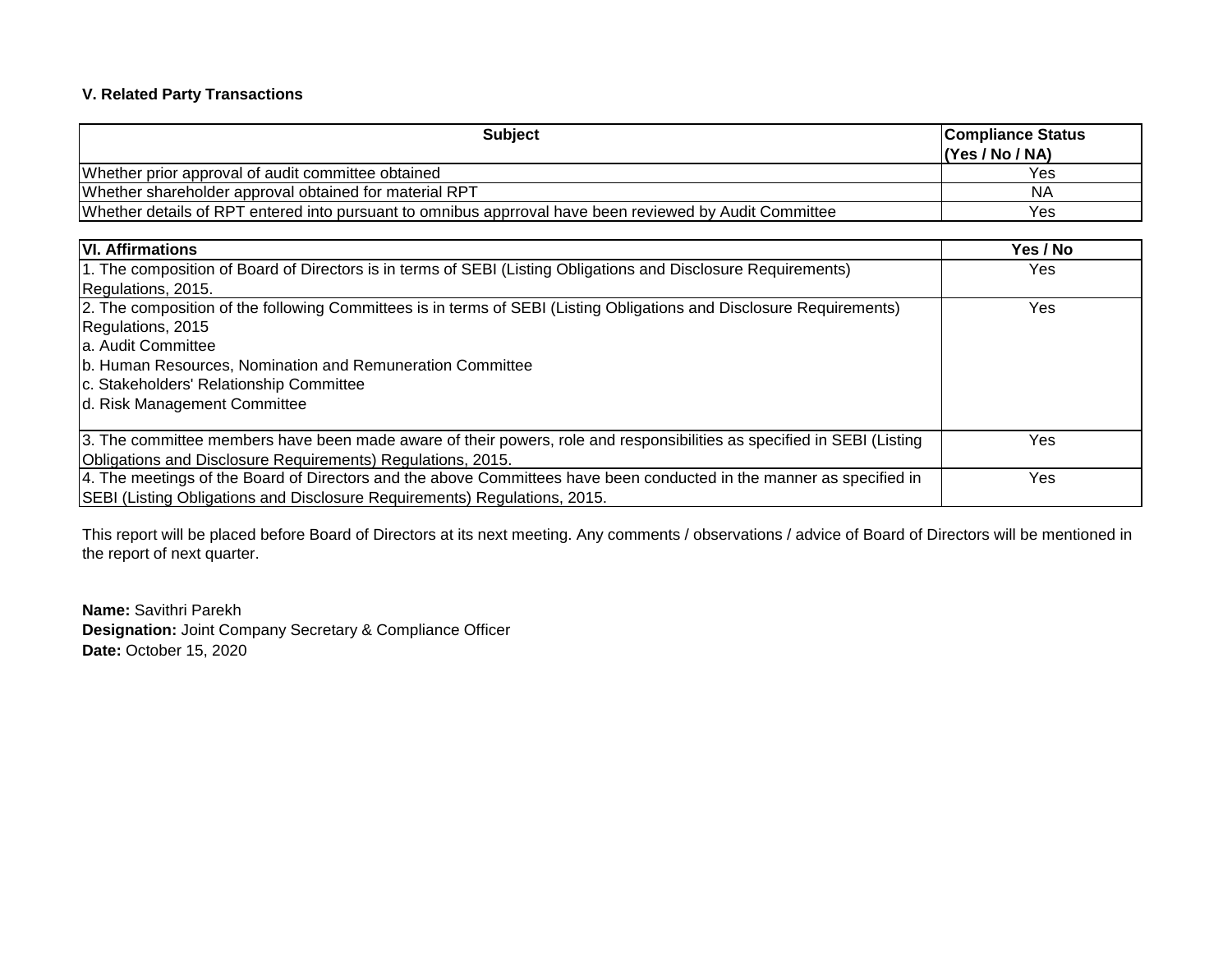## **V. Related Party Transactions**

| <b>Subject</b>                                                                                          | <b>Compliance Status</b><br>(Yes / No / NA) |
|---------------------------------------------------------------------------------------------------------|---------------------------------------------|
| Whether prior approval of audit committee obtained                                                      | Yes                                         |
| Whether shareholder approval obtained for material RPT                                                  | NA                                          |
| Whether details of RPT entered into pursuant to omnibus apprroval have been reviewed by Audit Committee | Yes                                         |

| <b>VI. Affirmations</b>                                                                                                | Yes / No |
|------------------------------------------------------------------------------------------------------------------------|----------|
| 1. The composition of Board of Directors is in terms of SEBI (Listing Obligations and Disclosure Requirements)         | Yes      |
| Regulations, 2015.                                                                                                     |          |
| [2. The composition of the following Committees is in terms of SEBI (Listing Obligations and Disclosure Requirements)  | Yes      |
| Regulations, 2015                                                                                                      |          |
| la. Audit Committee                                                                                                    |          |
| b. Human Resources, Nomination and Remuneration Committee                                                              |          |
| c. Stakeholders' Relationship Committee                                                                                |          |
| d. Risk Management Committee                                                                                           |          |
|                                                                                                                        |          |
| 3. The committee members have been made aware of their powers, role and responsibilities as specified in SEBI (Listing | Yes      |
| Obligations and Disclosure Requirements) Regulations, 2015.                                                            |          |
| 4. The meetings of the Board of Directors and the above Committees have been conducted in the manner as specified in   | Yes      |
| SEBI (Listing Obligations and Disclosure Requirements) Regulations, 2015.                                              |          |

This report will be placed before Board of Directors at its next meeting. Any comments / observations / advice of Board of Directors will be mentioned in the report of next quarter.

**Name:** Savithri Parekh **Designation:** Joint Company Secretary & Compliance Officer **Date:** October 15, 2020